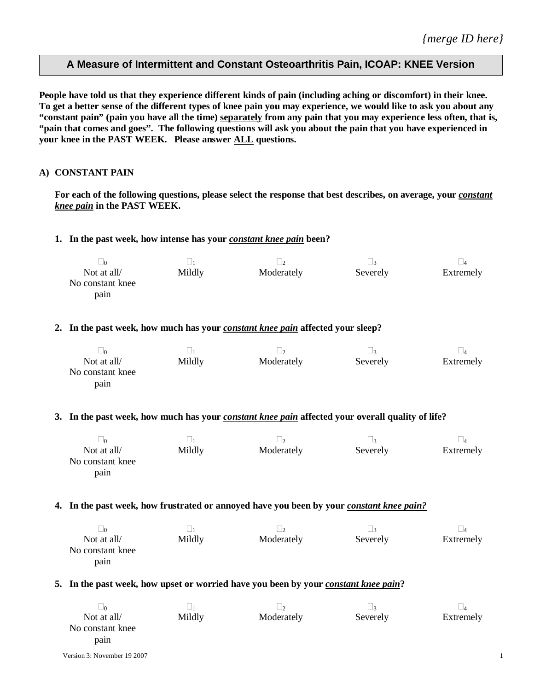# **A Measure of Intermittent and Constant Osteoarthritis Pain, ICOAP: KNEE Version**

**People have told us that they experience different kinds of pain (including aching or discomfort) in their knee. To get a better sense of the different types of knee pain you may experience, we would like to ask you about any "constant pain" (pain you have all the time) separately from any pain that you may experience less often, that is, "pain that comes and goes". The following questions will ask you about the pain that you have experienced in your knee in the PAST WEEK. Please answer ALL questions.** 

### **A) CONSTANT PAIN**

For each of the following questions, please select the response that best describes, on average, your *constant knee pain* **in the PAST WEEK.**

### **1. In the past week, how intense has your** *constant knee pain* **been?**

| ∟∩               |        | $\sqrt{2}$ | ⊥?       |           |
|------------------|--------|------------|----------|-----------|
| Not at all/      | Mildly | Moderately | Severely | Extremely |
| No constant knee |        |            |          |           |
| pain             |        |            |          |           |

### **2. In the past week, how much has your** *constant knee pain* **affected your sleep?**

| $\Box$ 0         |        |            |          |           |
|------------------|--------|------------|----------|-----------|
| Not at all/      | Mildly | Moderately | Severely | Extremely |
| No constant knee |        |            |          |           |
| pain             |        |            |          |           |

#### **3. In the past week, how much has your** *constant knee pain* **affected your overall quality of life?**

| $\Box$           |        | $\sqrt{2}$ |          |           |
|------------------|--------|------------|----------|-----------|
| Not at all/      | Mildly | Moderately | Severely | Extremely |
| No constant knee |        |            |          |           |
| pain             |        |            |          |           |

#### **4.** In the past week, how frustrated or annoyed have you been by your *constant knee pain?*

| ∟∩               |        |            |          |           |
|------------------|--------|------------|----------|-----------|
| Not at all/      | Mildly | Moderately | Severely | Extremely |
| No constant knee |        |            |          |           |
| pain             |        |            |          |           |

### **5.** In the past week, how upset or worried have you been by your *constant knee pain*?

| $\Box$ 0         |        |            |          |           |
|------------------|--------|------------|----------|-----------|
| Not at all/      | Mildly | Moderately | Severely | Extremely |
| No constant knee |        |            |          |           |
| pain             |        |            |          |           |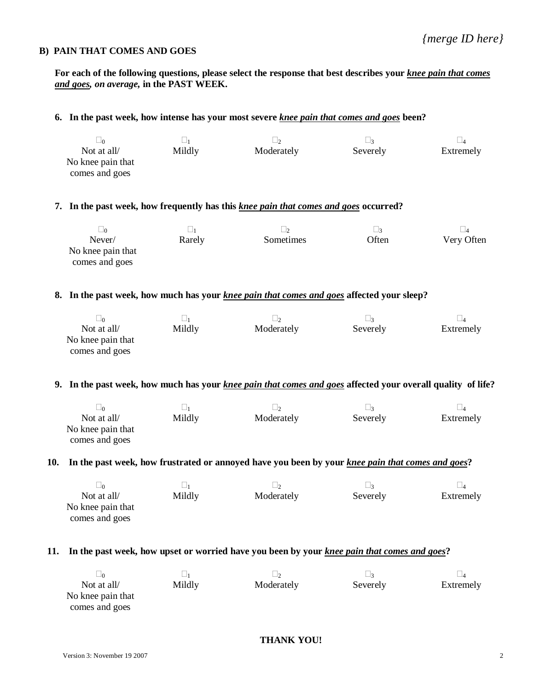### **B) PAIN THAT COMES AND GOES**

**For each of the following questions, please select the response that best describes your** *knee pain that comes and goes, on average,* **in the PAST WEEK.**

# **6. In the past week, how intense has your most severe** *knee pain that comes and goes* **been?**  $\Box_0$   $\Box_1$   $\Box_2$   $\Box_3$   $\Box_4$ Not at all/ No knee pain that comes and goes Mildly Moderately Severely Extremely

### **7. In the past week, how frequently has this** *knee pain that comes and goes* **occurred?**

| $\Box$ 0                            | -11    |           | $\vert$ 3 |            |
|-------------------------------------|--------|-----------|-----------|------------|
| Never/                              | Rarely | Sometimes | Often     | Very Often |
| No knee pain that<br>comes and goes |        |           |           |            |

### **8. In the past week, how much has your** *knee pain that comes and goes* **affected your sleep?**

| $\Box$ 0          |        |            | $\vert$ 3 |           |
|-------------------|--------|------------|-----------|-----------|
| Not at all/       | Mildly | Moderately | Severely  | Extremely |
| No knee pain that |        |            |           |           |
| comes and goes    |        |            |           |           |

### **9. In the past week, how much has your** *knee pain that comes and goes* **affected your overall quality of life?**

|                   |        |            | $\vert$ 3 |           |
|-------------------|--------|------------|-----------|-----------|
| Not at all/       | Mildly | Moderately | Severely  | Extremely |
| No knee pain that |        |            |           |           |
| comes and goes    |        |            |           |           |

### **10. In the past week, how frustrated or annoyed have you been by your** *knee pain that comes and goes***?**

| $\sqrt{0}$        |        |            |          |           |
|-------------------|--------|------------|----------|-----------|
| Not at all/       | Mildly | Moderately | Severely | Extremely |
| No knee pain that |        |            |          |           |
| comes and goes    |        |            |          |           |

### **11. In the past week, how upset or worried have you been by your** *knee pain that comes and goes***?**

| $\sqrt{2}$        |        |            |          |           |
|-------------------|--------|------------|----------|-----------|
| Not at all/       | Mildly | Moderately | Severely | Extremely |
| No knee pain that |        |            |          |           |
| comes and goes    |        |            |          |           |

## **THANK YOU!**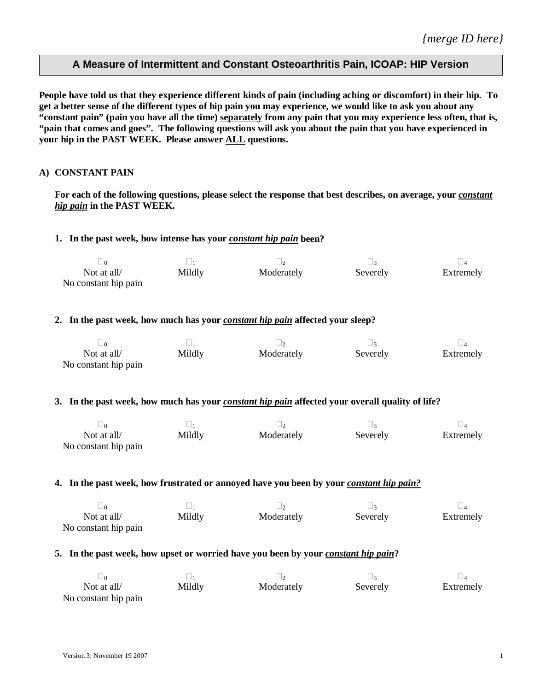# **A Measure of Intermittent and Constant Osteoarthritis Pain, ICOAP: HIP Version**

**People have told us that they experience different kinds of pain (including aching or discomfort) in their hip. To get a better sense of the different types of hip pain you may experience, we would like to ask you about any "constant pain" (pain you have all the time) separately from any pain that you may experience less often, that is, "pain that comes and goes". The following questions will ask you about the pain that you have experienced in your hip in the PAST WEEK. Please answer ALL questions.**

### **A) CONSTANT PAIN**

For each of the following questions, please select the response that best describes, on average, your *constant hip pain* **in the PAST WEEK.**

### 1. In the past week, how intense has your *constant hip pain* been?

| Not at all/          | Mildly | Moderately | Severely | Extremely |
|----------------------|--------|------------|----------|-----------|
| No constant hip pain |        |            |          |           |

# **2. In the past week, how much has your** *constant hip pain* **affected your sleep?**

| Not at all/          | Mildly | Moderately | Severely | Extremely |
|----------------------|--------|------------|----------|-----------|
| No constant hip pain |        |            |          |           |

#### **3. In the past week, how much has your** *constant hip pain* **affected your overall quality of life?**

| $\Box$ 0             | $-$    |            |          |           |
|----------------------|--------|------------|----------|-----------|
| Not at all/          | Mildly | Moderately | Severely | Extremely |
| No constant hip pain |        |            |          |           |

### **4.** In the past week, how frustrated or annoyed have you been by your *constant hip pain?*

| Not at all/          | Mildly | Moderately | Severely | Extremely |
|----------------------|--------|------------|----------|-----------|
| No constant hip pain |        |            |          |           |

### 5. In the past week, how upset or worried have you been by your *constant hip pain*?

| Not at all/          | Mildly | Moderately | Severely | Extremely |
|----------------------|--------|------------|----------|-----------|
| No constant hip pain |        |            |          |           |